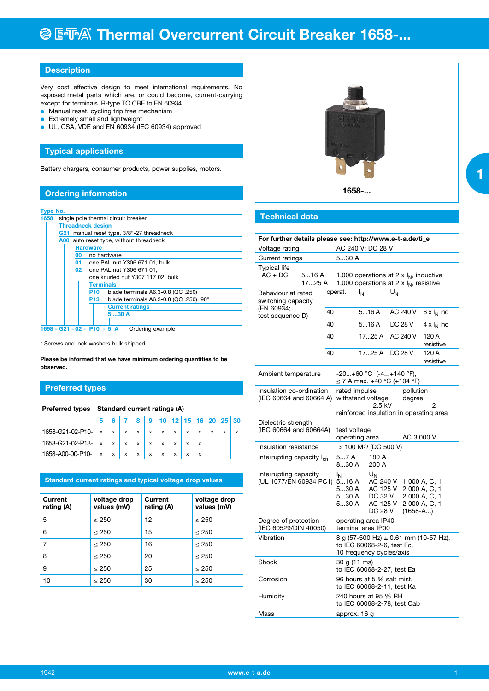# **@ E FA Thermal Overcurrent Circuit Breaker 1658-...**

### **Description**

Very cost effective design to meet international requirements. No exposed metal parts which are, or could become, current-carrying except for terminals. R-type TO CBE to EN 60934.

- **.** Manual reset, cycling trip free mechanism
- **Extremely small and lightweight**
- UL, CSA, VDE and EN 60934 (IEC 60934) approved

#### **Typical applications**

Battery chargers, consumer products, power supplies, motors.

#### **Ordering information**

| <b>Type No.</b> |                                            |    |                                                  |  |  |  |  |  |  |
|-----------------|--------------------------------------------|----|--------------------------------------------------|--|--|--|--|--|--|
| 1658            | single pole thermal circuit breaker        |    |                                                  |  |  |  |  |  |  |
|                 | <b>Threadneck design</b>                   |    |                                                  |  |  |  |  |  |  |
|                 | G21 manual reset type, 3/8"-27 threadneck  |    |                                                  |  |  |  |  |  |  |
|                 | auto reset type, without threadneck<br>A00 |    |                                                  |  |  |  |  |  |  |
|                 |                                            |    | <b>Hardware</b>                                  |  |  |  |  |  |  |
|                 | no hardware<br>00                          |    |                                                  |  |  |  |  |  |  |
|                 |                                            | 01 | one PAL nut Y306 671 01, bulk                    |  |  |  |  |  |  |
|                 |                                            | 02 | one PAL nut Y306 671 01,                         |  |  |  |  |  |  |
|                 |                                            |    | one knurled nut Y307 117 02, bulk                |  |  |  |  |  |  |
|                 |                                            |    | <b>Terminals</b>                                 |  |  |  |  |  |  |
|                 |                                            |    | blade terminals A6.3-0.8 (QC .250)<br>P10        |  |  |  |  |  |  |
|                 |                                            |    | blade terminals A6.3-0.8 (QC .250), 90°<br>P13 I |  |  |  |  |  |  |
|                 |                                            |    | <b>Current ratings</b>                           |  |  |  |  |  |  |
|                 |                                            |    | 530A                                             |  |  |  |  |  |  |
|                 |                                            |    |                                                  |  |  |  |  |  |  |
|                 |                                            |    | 1658 - G21 - 02 - P10 - 5 A<br>Ordering example  |  |  |  |  |  |  |

\* Screws and lock washers bulk shipped

**Please be informed that we have minimum ordering quantities to be observed.**

### **Preferred types**

| <b>Preferred types</b> | <b>Standard current ratings (A)</b> |                           |   |   |   |   |   |   |                                    |   |   |   |
|------------------------|-------------------------------------|---------------------------|---|---|---|---|---|---|------------------------------------|---|---|---|
|                        | 5                                   |                           |   | 8 | 9 |   |   |   | $10$   12   15   16   20   25   30 |   |   |   |
| 1658-G21-02-P10-       | $\boldsymbol{\mathsf{x}}$           | $\mathsf{x}$              | x | x | x | x | x | x | x                                  | x | x | X |
| 1658-G21-02-P13-       | $\boldsymbol{\mathsf{x}}$           | $\boldsymbol{\mathsf{x}}$ | x | x | x | x | x | x | x                                  |   |   |   |
| 1658-A00-00-P10-       | X                                   | X                         | x | x | x | x | x | x | x                                  |   |   |   |

#### **Standard current ratings and typical voltage drop values**

| Current<br>rating (A) | voltage drop<br>values (mV) | Current<br>rating (A) | voltage drop<br>values (mV) |
|-----------------------|-----------------------------|-----------------------|-----------------------------|
| 5                     | $\leq 250$                  | 12                    | $\leq 250$                  |
| 6                     | $\leq 250$                  | 15                    | $\leq 250$                  |
| 7                     | < 250                       | 16                    | < 250                       |
| 8                     | $\leq 250$                  | 20                    | $\leq 250$                  |
| 9                     | $\leq 250$                  | 25                    | < 250                       |
| 10                    | $\leq 250$                  | 30                    | $\leq 250$                  |



#### **Technical data**

| For further details please see: http://www.e-t-a.de/ti_e                         |                                           |                                                                          |                                                                                                                     |                                                                                  |                |                    |  |  |
|----------------------------------------------------------------------------------|-------------------------------------------|--------------------------------------------------------------------------|---------------------------------------------------------------------------------------------------------------------|----------------------------------------------------------------------------------|----------------|--------------------|--|--|
| Voltage rating                                                                   | AC 240 V; DC 28 V                         |                                                                          |                                                                                                                     |                                                                                  |                |                    |  |  |
| Current ratings                                                                  | 530 A                                     |                                                                          |                                                                                                                     |                                                                                  |                |                    |  |  |
| <b>Typical life</b><br>$AC + DC$                                                 | 516 A<br>17…25 A                          |                                                                          | 1,000 operations at 2 x $I_N$ , inductive<br>1,000 operations at 2 x $I_N$ , resistive                              |                                                                                  |                |                    |  |  |
| Behaviour at rated<br>switching capacity<br>(EN 60934;<br>40<br>test sequence D) |                                           |                                                                          | operat.                                                                                                             | ۱N                                                                               | $U_N$          |                    |  |  |
|                                                                                  |                                           |                                                                          |                                                                                                                     | 516A                                                                             | AC 240 V       | $6 \times I_N$ ind |  |  |
|                                                                                  |                                           | 40                                                                       |                                                                                                                     | 516A                                                                             | <b>DC 28 V</b> | $4 \times I_N$ ind |  |  |
|                                                                                  |                                           | 40                                                                       |                                                                                                                     | 1725A                                                                            | AC 240 V       | 120 A<br>resistive |  |  |
|                                                                                  |                                           | 40                                                                       |                                                                                                                     | 1725A                                                                            | DC 28 V        | 120 A<br>resistive |  |  |
| Ambient temperature                                                              |                                           |                                                                          |                                                                                                                     | $-20+60$ °C $(-4+140$ °F),<br>≤ 7 A max. +40 °C (+104 °F)                        |                |                    |  |  |
| Insulation co-ordination<br>(IEC 60664 and 60664 A)                              |                                           |                                                                          | rated impulse<br>pollution<br>withstand voltage<br>degree<br>2.5 kV<br>2<br>reinforced insulation in operating area |                                                                                  |                |                    |  |  |
| Dielectric strength<br>(IEC 60664 and 60664A)                                    | test voltage<br>operating area            |                                                                          |                                                                                                                     | AC 3,000 V                                                                       |                |                    |  |  |
| Insulation resistance                                                            | > 100 MΩ (DC 500 V)                       |                                                                          |                                                                                                                     |                                                                                  |                |                    |  |  |
| Interrupting capacity I <sub>cn</sub>                                            |                                           |                                                                          | 57A<br>830 A                                                                                                        | 180 A<br>200 A                                                                   |                |                    |  |  |
| Interrupting capacity<br>(UL 1077/EN 60934 PC1)                                  | IN<br>516A<br>530 A<br>530 A<br>530 A     | U <sub>N</sub><br>AC 240 V<br>AC 125 V<br>DC 32 V<br>AC 125 V<br>DC 28 V |                                                                                                                     | 1 000 A, C, 1<br>2 000 A, C, 1<br>2 000 A, C, 1<br>2 000 A, C, 1<br>$(1658 - A)$ |                |                    |  |  |
| Degree of protection<br>(IEC 60529/DIN 40050)                                    | operating area IP40<br>terminal area IP00 |                                                                          |                                                                                                                     |                                                                                  |                |                    |  |  |
| Vibration                                                                        |                                           |                                                                          | 8 g (57-500 Hz) $\pm$ 0.61 mm (10-57 Hz),<br>to IEC 60068-2-6, test Fc,<br>10 frequency cycles/axis                 |                                                                                  |                |                    |  |  |
| Shock                                                                            |                                           |                                                                          | 30 g (11 ms)<br>to IEC 60068-2-27, test Ea                                                                          |                                                                                  |                |                    |  |  |
| Corrosion                                                                        |                                           |                                                                          | 96 hours at 5 % salt mist,<br>to IEC 60068-2-11, test Ka                                                            |                                                                                  |                |                    |  |  |
| Humidity                                                                         |                                           |                                                                          | 240 hours at 95 % RH<br>to IEC 60068-2-78, test Cab                                                                 |                                                                                  |                |                    |  |  |
| Mass                                                                             |                                           |                                                                          | approx. 16 g                                                                                                        |                                                                                  |                |                    |  |  |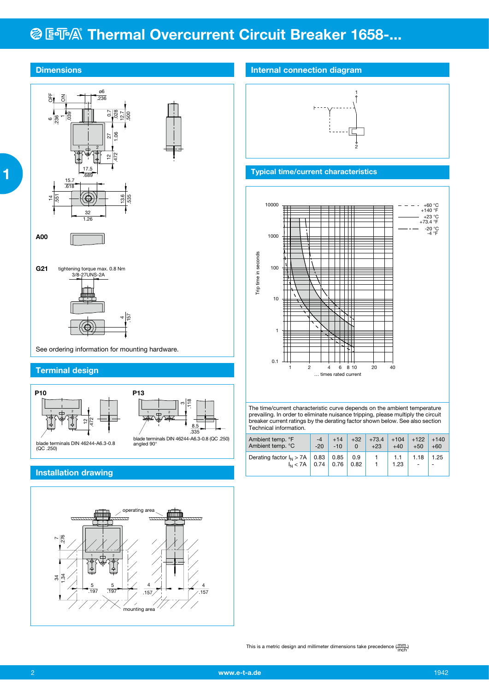## **@ ESA® Thermal Overcurrent Circuit Breaker 1658-...**



### **Installation drawing**

 **1**



This is a metric design and millimeter dimensions take precedence  $(\frac{mm}{inoh})$